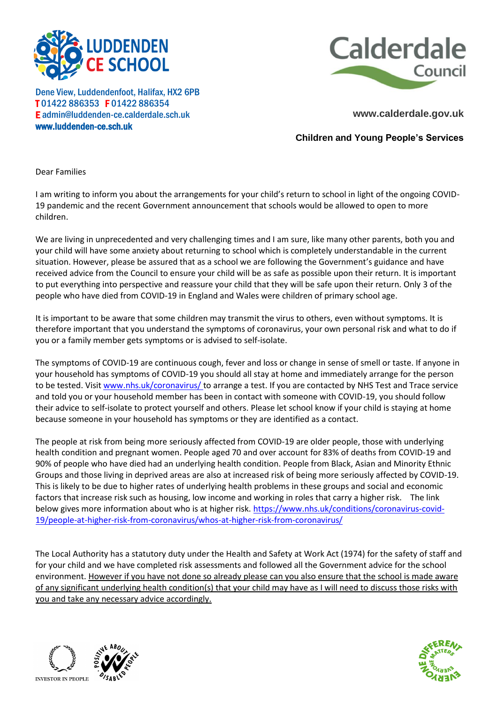



Dene View, Luddendenfoot, Halifax, HX2 6PB T 01422 886353 F 01422 886354 E admin@luddenden-ce.calderdale.sch.uk www.luddenden-ce.sch.uk

**www.calderdale.gov.uk**

**Children and Young People's Services**

Dear Families

I am writing to inform you about the arrangements for your child's return to school in light of the ongoing COVID-19 pandemic and the recent Government announcement that schools would be allowed to open to more children.

We are living in unprecedented and very challenging times and I am sure, like many other parents, both you and your child will have some anxiety about returning to school which is completely understandable in the current situation. However, please be assured that as a school we are following the Government's guidance and have received advice from the Council to ensure your child will be as safe as possible upon their return. It is important to put everything into perspective and reassure your child that they will be safe upon their return. Only 3 of the people who have died from COVID-19 in England and Wales were children of primary school age.

It is important to be aware that some children may transmit the virus to others, even without symptoms. It is therefore important that you understand the symptoms of coronavirus, your own personal risk and what to do if you or a family member gets symptoms or is advised to self-isolate.

The symptoms of COVID-19 are continuous cough, fever and loss or change in sense of smell or taste. If anyone in your household has symptoms of COVID-19 you should all stay at home and immediately arrange for the person to be tested. Visi[t www.nhs.uk/coronavirus/ t](http://www.nhs.uk/coronavirus/)o arrange a test. If you are contacted by NHS Test and Trace service and told you or your household member has been in contact with someone with COVID-19, you should follow their advice to self-isolate to protect yourself and others. Please let school know if your child is staying at home because someone in your household has symptoms or they are identified as a contact.

The people at risk from being more seriously affected from COVID-19 are older people, those with underlying health condition and pregnant women. People aged 70 and over account for 83% of deaths from COVID-19 and 90% of people who have died had an underlying health condition. People from Black, Asian and Minority Ethnic Groups and those living in deprived areas are also at increased risk of being more seriously affected by COVID-19. This is likely to be due to higher rates of underlying health problems in these groups and social and economic factors that increase risk such as housing, low income and working in roles that carry a higher risk. The link below gives more information about who is at higher risk. [https://www.nhs.uk/conditions/coronavirus-covid-](https://www.nhs.uk/conditions/coronavirus-covid-19/people-at-higher-risk-from-coronavirus/whos-at-higher-risk-from-coronavirus/)[19/people-at-higher-risk-from-coronavirus/whos-at-higher-risk-from-coronavirus/](https://www.nhs.uk/conditions/coronavirus-covid-19/people-at-higher-risk-from-coronavirus/whos-at-higher-risk-from-coronavirus/)

The Local Authority has a statutory duty under the Health and Safety at Work Act (1974) for the safety of staff and for your child and we have completed risk assessments and followed all the Government advice for the school environment. However if you have not done so already please can you also ensure that the school is made aware of any significant underlying health condition(s) that your child may have as I will need to discuss those risks with you and take any necessary advice accordingly.